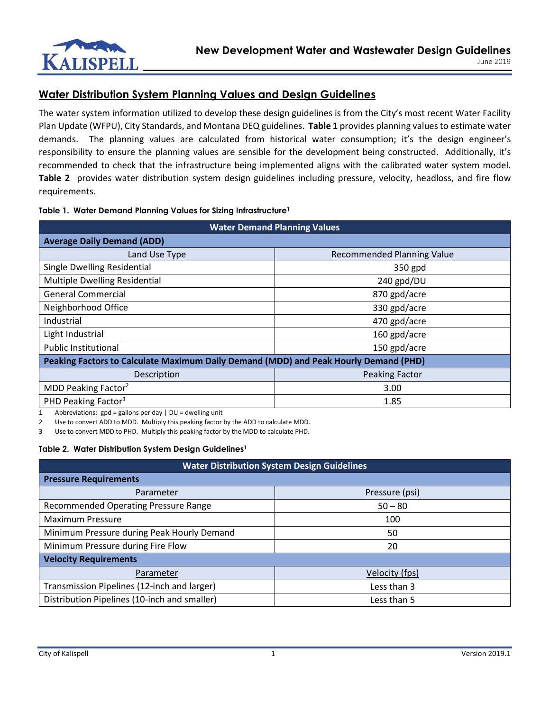

# **Water Distribution System Planning Values and Design Guidelines**

The water system information utilized to develop these design guidelines is from the City's most recent Water Facility Plan Update (WFPU), City Standards, and Montana DEQ guidelines. **Table 1** provides planning values to estimate water demands. The planning values are calculated from historical water consumption; it's the design engineer's responsibility to ensure the planning values are sensible for the development being constructed. Additionally, it's recommended to check that the infrastructure being implemented aligns with the calibrated water system model. **Table 2** provides water distribution system design guidelines including pressure, velocity, headloss, and fire flow requirements.

## **Table 1. Water Demand Planning Values for Sizing Infrastructure<sup>1</sup>**

| <b>Water Demand Planning Values</b>                                                  |                                   |  |
|--------------------------------------------------------------------------------------|-----------------------------------|--|
| <b>Average Daily Demand (ADD)</b>                                                    |                                   |  |
| Land Use Type                                                                        | <b>Recommended Planning Value</b> |  |
| Single Dwelling Residential                                                          | 350 gpd                           |  |
| <b>Multiple Dwelling Residential</b>                                                 | 240 gpd/DU                        |  |
| <b>General Commercial</b>                                                            | 870 gpd/acre                      |  |
| Neighborhood Office                                                                  | 330 gpd/acre                      |  |
| Industrial                                                                           | 470 gpd/acre                      |  |
| Light Industrial                                                                     | 160 gpd/acre                      |  |
| <b>Public Institutional</b>                                                          | 150 gpd/acre                      |  |
| Peaking Factors to Calculate Maximum Daily Demand (MDD) and Peak Hourly Demand (PHD) |                                   |  |
| Description                                                                          | <b>Peaking Factor</b>             |  |
| MDD Peaking Factor <sup>2</sup>                                                      | 3.00                              |  |
| PHD Peaking Factor <sup>3</sup>                                                      | 1.85                              |  |

1 Abbreviations:  $gpd = gallons per day \mid DU = dwelling unit$ 

2 Use to convert ADD to MDD. Multiply this peaking factor by the ADD to calculate MDD.

3 Use to convert MDD to PHD. Multiply this peaking factor by the MDD to calculate PHD.

## **Table 2. Water Distribution System Design Guidelines<sup>1</sup>**

| <b>Water Distribution System Design Guidelines</b> |                |  |  |
|----------------------------------------------------|----------------|--|--|
| <b>Pressure Requirements</b>                       |                |  |  |
| Parameter                                          | Pressure (psi) |  |  |
| Recommended Operating Pressure Range               | $50 - 80$      |  |  |
| <b>Maximum Pressure</b>                            | 100            |  |  |
| Minimum Pressure during Peak Hourly Demand         | 50             |  |  |
| Minimum Pressure during Fire Flow                  | 20             |  |  |
| <b>Velocity Requirements</b>                       |                |  |  |
| Parameter                                          | Velocity (fps) |  |  |
| Transmission Pipelines (12-inch and larger)        | Less than 3    |  |  |
| Distribution Pipelines (10-inch and smaller)       | Less than 5    |  |  |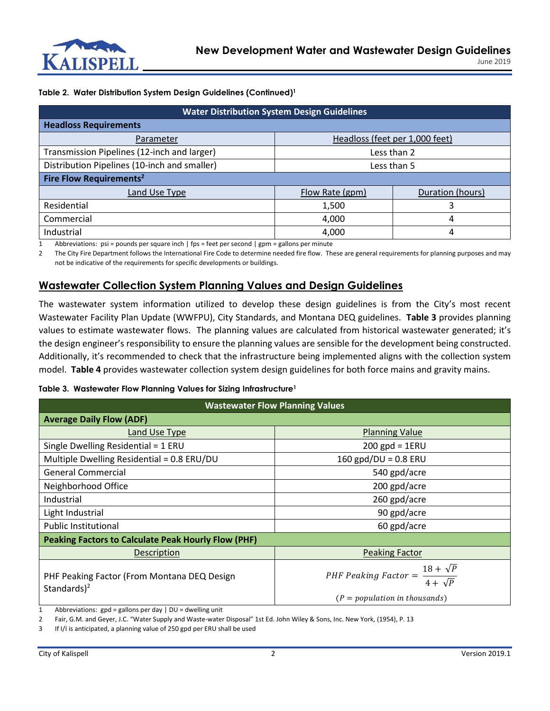

## **Table 2. Water Distribution System Design Guidelines (Continued)<sup>1</sup>**

| <b>Water Distribution System Design Guidelines</b> |                                |                  |  |  |
|----------------------------------------------------|--------------------------------|------------------|--|--|
| <b>Headloss Requirements</b>                       |                                |                  |  |  |
| Parameter                                          | Headloss (feet per 1,000 feet) |                  |  |  |
| Transmission Pipelines (12-inch and larger)        | Less than 2                    |                  |  |  |
| Distribution Pipelines (10-inch and smaller)       | Less than 5                    |                  |  |  |
| Fire Flow Requirements <sup>2</sup>                |                                |                  |  |  |
| Land Use Type                                      | Flow Rate (gpm)                | Duration (hours) |  |  |
| Residential                                        | 1,500                          |                  |  |  |
| Commercial                                         | 4,000                          | 4                |  |  |
| Industrial                                         | 4,000                          | 4                |  |  |

1 Abbreviations: psi = pounds per square inch | fps = feet per second | gpm = gallons per minute

2 The City Fire Department follows the International Fire Code to determine needed fire flow. These are general requirements for planning purposes and may not be indicative of the requirements for specific developments or buildings.

## **Wastewater Collection System Planning Values and Design Guidelines**

The wastewater system information utilized to develop these design guidelines is from the City's most recent Wastewater Facility Plan Update (WWFPU), City Standards, and Montana DEQ guidelines. **Table 3** provides planning values to estimate wastewater flows. The planning values are calculated from historical wastewater generated; it's the design engineer's responsibility to ensure the planning values are sensible for the development being constructed. Additionally, it's recommended to check that the infrastructure being implemented aligns with the collection system model. **Table 4** provides wastewater collection system design guidelines for both force mains and gravity mains.

## **Table 3. Wastewater Flow Planning Values for Sizing Infrastructure<sup>1</sup>**

| <b>Wastewater Flow Planning Values</b>                         |                                                           |  |
|----------------------------------------------------------------|-----------------------------------------------------------|--|
| <b>Average Daily Flow (ADF)</b>                                |                                                           |  |
| Land Use Type                                                  | <b>Planning Value</b>                                     |  |
| Single Dwelling Residential = 1 ERU                            | $200$ gpd = 1ERU                                          |  |
| Multiple Dwelling Residential = 0.8 ERU/DU                     | 160 $gpd/DU = 0.8$ ERU                                    |  |
| <b>General Commercial</b>                                      | 540 gpd/acre                                              |  |
| Neighborhood Office                                            | 200 gpd/acre                                              |  |
| Industrial                                                     | 260 gpd/acre                                              |  |
| Light Industrial                                               | 90 gpd/acre                                               |  |
| <b>Public Institutional</b>                                    | 60 gpd/acre                                               |  |
| <b>Peaking Factors to Calculate Peak Hourly Flow (PHF)</b>     |                                                           |  |
| Description                                                    | <b>Peaking Factor</b>                                     |  |
| PHF Peaking Factor (From Montana DEQ Design<br>Standards $)^2$ | PHF Peaking Factor = $\frac{18 + \sqrt{P}}{4 + \sqrt{P}}$ |  |
|                                                                | $(P = population in thousands)$                           |  |

1 Abbreviations: gpd = gallons per day | DU = dwelling unit

2 Fair, G.M. and Geyer, J.C. "Water Supply and Waste-water Disposal" 1st Ed. John Wiley & Sons, Inc. New York, (1954), P. 13

3 If I/I is anticipated, a planning value of 250 gpd per ERU shall be used